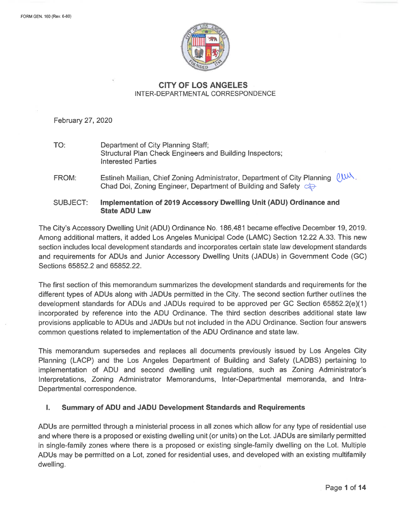

# **CITY OF LOS ANGELES** INTER-DEPARTMENTAL CORRESPONDENCE

February 27, 2020

TO: Department of City Planning Staff; Structural Plan Check Engineers and Building Inspectors; **Interested Parties** 

Estineh Mailian, Chief Zoning Administrator, Department of City Planning  $\ell_{\text{max}}$ . FROM: Chad Doi, Zoning Engineer, Department of Building and Safety C

Implementation of 2019 Accessory Dwelling Unit (ADU) Ordinance and **SUBJECT: State ADU Law** 

The City's Accessory Dwelling Unit (ADU) Ordinance No. 186,481 became effective December 19, 2019. Among additional matters, it added Los Angeles Municipal Code (LAMC) Section 12.22 A.33. This new section includes local development standards and incorporates certain state law development standards and requirements for ADUs and Junior Accessory Dwelling Units (JADUs) in Government Code (GC) Sections 65852.2 and 65852.22.

The first section of this memorandum summarizes the development standards and requirements for the different types of ADUs along with JADUs permitted in the City. The second section further outlines the development standards for ADUs and JADUs required to be approved per GC Section 65852.2(e)(1) incorporated by reference into the ADU Ordinance. The third section describes additional state law provisions applicable to ADUs and JADUs but not included in the ADU Ordinance. Section four answers common questions related to implementation of the ADU Ordinance and state law.

This memorandum supersedes and replaces all documents previously issued by Los Angeles City Planning (LACP) and the Los Angeles Department of Building and Safety (LADBS) pertaining to implementation of ADU and second dwelling unit regulations, such as Zoning Administrator's Interpretations, Zoning Administrator Memorandums, Inter-Departmental memoranda, and Intra-Departmental correspondence.

#### Ι. Summary of ADU and JADU Development Standards and Requirements

ADUs are permitted through a ministerial process in all zones which allow for any type of residential use and where there is a proposed or existing dwelling unit (or units) on the Lot. JADUs are similarly permitted in single-family zones where there is a proposed or existing single-family dwelling on the Lot. Multiple ADUs may be permitted on a Lot, zoned for residential uses, and developed with an existing multifamily dwelling.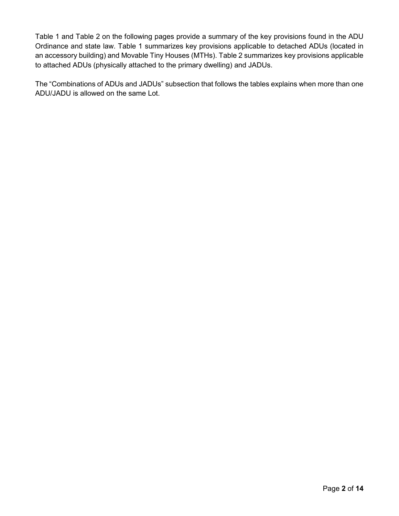Table 1 and Table 2 on the following pages provide a summary of the key provisions found in the ADU Ordinance and state law. Table 1 summarizes key provisions applicable to detached ADUs (located in an accessory building) and Movable Tiny Houses (MTHs). Table 2 summarizes key provisions applicable to attached ADUs (physically attached to the primary dwelling) and JADUs.

The "Combinations of ADUs and JADUs" subsection that follows the tables explains when more than one ADU/JADU is allowed on the same Lot.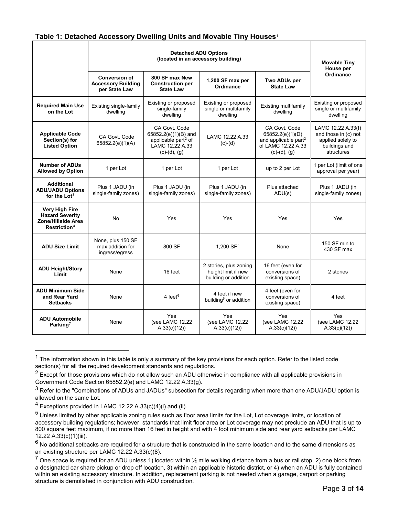## **Table 1: Detached Accessory Dwelling Units and Movable Tiny Houses**[1](#page-2-0)

|                                                                                                   |                                                                    | <b>Movable Tiny</b><br>House per                                                                              |                                                                       |                                                                                                               |                                                                                                |
|---------------------------------------------------------------------------------------------------|--------------------------------------------------------------------|---------------------------------------------------------------------------------------------------------------|-----------------------------------------------------------------------|---------------------------------------------------------------------------------------------------------------|------------------------------------------------------------------------------------------------|
|                                                                                                   | <b>Conversion of</b><br><b>Accessory Building</b><br>per State Law | 800 SF max New<br><b>Construction per</b><br><b>State Law</b>                                                 | 1,200 SF max per<br>Ordinance                                         | Two ADUs per<br><b>State Law</b>                                                                              | Ordinance                                                                                      |
| <b>Required Main Use</b><br>on the Lot                                                            | Existing single-family<br>dwelling                                 | Existing or proposed<br>single-family<br>dwelling                                                             | Existing or proposed<br>single or multifamily<br>dwelling             | Existing multifamily<br>dwelling                                                                              | Existing or proposed<br>single or multifamily<br>dwelling                                      |
| <b>Applicable Code</b><br>Section(s) for<br><b>Listed Option</b>                                  | CA Govt. Code<br>65852.2(e)(1)(A)                                  | CA Govt. Code<br>65852.2(e)(1)(B) and<br>applicable part <sup>2</sup> of<br>LAMC 12.22 A.33<br>$(c)-(d), (g)$ | LAMC 12.22 A.33<br>$(c)-(d)$                                          | CA Govt. Code<br>65852.2(e)(1)(D)<br>and applicable part <sup>2</sup><br>of LAMC 12.22 A.33<br>$(c)-(d), (g)$ | LAMC 12.22 A.33(f)<br>and those in (c) not<br>applied solely to<br>buildings and<br>structures |
| <b>Number of ADUs</b><br><b>Allowed by Option</b>                                                 | 1 per Lot                                                          | 1 per Lot                                                                                                     | 1 per Lot                                                             | up to 2 per Lot                                                                                               | 1 per Lot (limit of one<br>approval per year)                                                  |
| <b>Additional</b><br><b>ADU/JADU Options</b><br>for the Lot $3$                                   | Plus 1 JADU (in<br>single-family zones)                            | Plus 1 JADU (in<br>single-family zones)                                                                       | Plus 1 JADU (in<br>single-family zones)                               | Plus attached<br>ADU(s)                                                                                       | Plus 1 JADU (in<br>single-family zones)                                                        |
| <b>Very High Fire</b><br><b>Hazard Severity</b><br>Zone/Hillside Area<br>Restriction <sup>4</sup> | No                                                                 | Yes                                                                                                           | Yes                                                                   | Yes                                                                                                           | Yes                                                                                            |
| <b>ADU Size Limit</b>                                                                             | None, plus 150 SF<br>max addition for<br>ingress/egress            | 800 SF                                                                                                        | 1,200 SF <sup>5</sup>                                                 | None                                                                                                          | 150 SF min to<br>430 SF max                                                                    |
| <b>ADU Height/Story</b><br>Limit                                                                  | None                                                               | 16 feet                                                                                                       | 2 stories, plus zoning<br>height limit if new<br>building or addition | 16 feet (even for<br>conversions of<br>existing space)                                                        | 2 stories                                                                                      |
| <b>ADU Minimum Side</b><br>and Rear Yard<br><b>Setbacks</b>                                       | None                                                               | 4 feet <sup>6</sup>                                                                                           | 4 feet if new<br>building <sup>6</sup> or addition                    | 4 feet (even for<br>conversions of<br>existing space)                                                         | 4 feet                                                                                         |
| <b>ADU Automobile</b><br>Parking <sup>7</sup>                                                     | None                                                               | Yes<br>(see LAMC 12.22<br>A.33(c)(12)                                                                         | Yes<br>(see LAMC 12.22<br>A.33(c)(12)                                 | Yes<br>(see LAMC 12.22<br>A.33(c)(12)                                                                         | Yes<br>(see LAMC 12.22<br>A.33(c)(12)                                                          |

<span id="page-2-0"></span> $1$  The information shown in this table is only a summary of the key provisions for each option. Refer to the listed code section(s) for all the required development standards and regulations.

 $\overline{a}$ 

<span id="page-2-1"></span> $2$  Except for those provisions which do not allow such an ADU otherwise in compliance with all applicable provisions in Government Code Section 65852.2(e) and LAMC 12.22 A.33(g).

<span id="page-2-2"></span> $3$  Refer to the "Combinations of ADUs and JADUs" subsection for details regarding when more than one ADU/JADU option is allowed on the same Lot.

<span id="page-2-3"></span> $4$  Exceptions provided in LAMC 12.22 A.33(c)(4)(i) and (ii).

<span id="page-2-4"></span><sup>5</sup> Unless limited by other applicable zoning rules such as floor area limits for the Lot, Lot coverage limits, or location of accessory building regulations; however, standards that limit floor area or Lot coverage may not preclude an ADU that is up to 800 square feet maximum, if no more than 16 feet in height and with 4 foot minimum side and rear yard setbacks per LAMC 12.22 A.33(c)(1)(iii).

<span id="page-2-5"></span> $6$  No additional setbacks are required for a structure that is constructed in the same location and to the same dimensions as an existing structure per LAMC 12.22 A.33(c)(8).

<span id="page-2-6"></span><sup>&</sup>lt;sup>7</sup> One space is required for an ADU unless 1) located within  $\frac{1}{2}$  mile walking distance from a bus or rail stop, 2) one block from a designated car share pickup or drop off location, 3) within an applicable historic district, or 4) when an ADU is fully contained within an existing accessory structure. In addition, replacement parking is not needed when a garage, carport or parking structure is demolished in conjunction with ADU construction.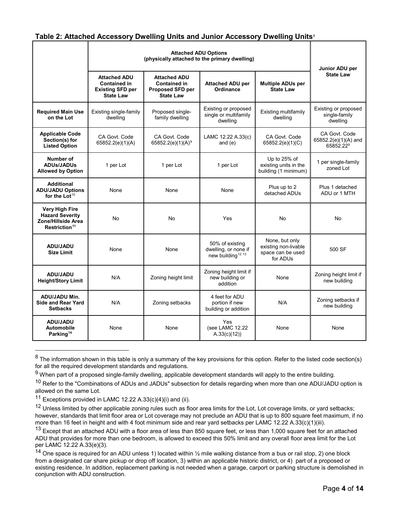# **Table 2: Attached Accessory Dwelling Units and Junior Accessory Dwelling Units**[8](#page-3-0)

|                                                                                             |                                                                                    | Junior ADU per                                                                     |                                                                          |                                                                         |                                                                |
|---------------------------------------------------------------------------------------------|------------------------------------------------------------------------------------|------------------------------------------------------------------------------------|--------------------------------------------------------------------------|-------------------------------------------------------------------------|----------------------------------------------------------------|
|                                                                                             | <b>Attached ADU</b><br>Contained in<br><b>Existing SFD per</b><br><b>State Law</b> | <b>Attached ADU</b><br><b>Contained in</b><br>Proposed SFD per<br><b>State Law</b> | <b>Attached ADU per</b><br>Ordinance                                     | <b>Multiple ADUs per</b><br><b>State Law</b>                            | <b>State Law</b>                                               |
| <b>Required Main Use</b><br>on the Lot                                                      | Existing single-family<br>dwelling                                                 | Proposed single-<br>family dwelling                                                | Existing or proposed<br>single or multifamily<br>dwelling                | Existing multifamily<br>dwelling                                        | Existing or proposed<br>single-family<br>dwelling              |
| <b>Applicable Code</b><br>Section(s) for<br><b>Listed Option</b>                            | CA Govt. Code<br>65852.2(e)(1)(A)                                                  | CA Govt. Code<br>65852.2(e)(1)(A) <sup>9</sup>                                     | LAMC 12.22 A.33(c)<br>and $(e)$                                          | CA Govt. Code<br>65852.2(e)(1)(C)                                       | CA Govt. Code<br>65852.2(e)(1)(A) and<br>65852.22 <sup>9</sup> |
| Number of<br><b>ADUs/JADUs</b><br><b>Allowed by Option</b>                                  | 1 per Lot                                                                          | 1 per Lot                                                                          | 1 per Lot                                                                | Up to 25% of<br>existing units in the<br>building (1 minimum)           | 1 per single-family<br>zoned Lot                               |
| <b>Additional</b><br><b>ADU/JADU Options</b><br>for the Lot $10$                            | None                                                                               | None                                                                               | None                                                                     | Plus up to 2<br>detached ADUs                                           | Plus 1 detached<br>ADU or 1 MTH                                |
| Very High Fire<br><b>Hazard Severity</b><br>Zone/Hillside Area<br>Restriction <sup>11</sup> | No                                                                                 | No                                                                                 | Yes                                                                      | No                                                                      | No                                                             |
| ADU/JADU<br><b>Size Limit</b>                                                               | None                                                                               | None                                                                               | 50% of existing<br>dwelling, or none if<br>new building <sup>12 13</sup> | None, but only<br>existing non-livable<br>space can be used<br>for ADUs | 500 SF                                                         |
| <b>ADU/JADU</b><br><b>Height/Story Limit</b>                                                | N/A                                                                                | Zoning height limit                                                                | Zoning height limit if<br>new building or<br>addition                    | None                                                                    | Zoning height limit if<br>new building                         |
| ADU/JADU Min.<br><b>Side and Rear Yard</b><br><b>Setbacks</b>                               | N/A                                                                                | Zoning setbacks                                                                    | 4 feet for ADU<br>portion if new<br>building or addition                 | N/A                                                                     | Zoning setbacks if<br>new building                             |
| <b>ADU/JADU</b><br>Automobile<br>Parking <sup>14</sup>                                      | None                                                                               | None                                                                               | Yes<br>(see LAMC 12.22<br>A.33(c)(12)                                    | None                                                                    | None                                                           |

<span id="page-3-0"></span> $8$  The information shown in this table is only a summary of the key provisions for this option. Refer to the listed code section(s) for all the required development standards and regulations.

 $\overline{a}$ 

<span id="page-3-1"></span> $9$  When part of a proposed single-family dwelling, applicable development standards will apply to the entire building.

<span id="page-3-2"></span> $10$  Refer to the "Combinations of ADUs and JADUs" subsection for details regarding when more than one ADU/JADU option is allowed on the same Lot.

<span id="page-3-3"></span><sup>&</sup>lt;sup>11</sup> Exceptions provided in LAMC 12.22 A.33(c)(4)(i) and (ii).

<span id="page-3-4"></span><sup>&</sup>lt;sup>12</sup> Unless limited by other applicable zoning rules such as floor area limits for the Lot, Lot coverage limits, or yard setbacks; however, standards that limit floor area or Lot coverage may not preclude an ADU that is up to 800 square feet maximum, if no more than 16 feet in height and with 4 foot minimum side and rear yard setbacks per LAMC 12.22 A.33(c)(1)(iii).

<span id="page-3-5"></span><sup>&</sup>lt;sup>13</sup> Except that an attached ADU with a floor area of less than 850 square feet, or less than 1,000 square feet for an attached ADU that provides for more than one bedroom, is allowed to exceed this 50% limit and any overall floor area limit for the Lot per LAMC 12.22 A.33(e)(3).

<span id="page-3-6"></span><sup>&</sup>lt;sup>14</sup> One space is required for an ADU unless 1) located within  $\frac{1}{2}$  mile walking distance from a bus or rail stop, 2) one block from a designated car share pickup or drop off location, 3) within an applicable historic district, or 4) part of a proposed or existing residence. In addition, replacement parking is not needed when a garage, carport or parking structure is demolished in conjunction with ADU construction.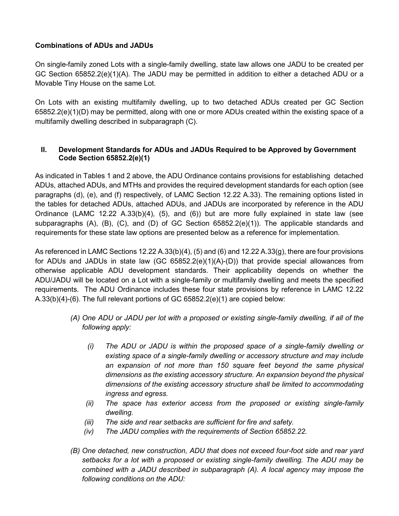# **Combinations of ADUs and JADUs**

On single-family zoned Lots with a single-family dwelling, state law allows one JADU to be created per GC Section 65852.2(e)(1)(A). The JADU may be permitted in addition to either a detached ADU or a Movable Tiny House on the same Lot.

On Lots with an existing multifamily dwelling, up to two detached ADUs created per GC Section 65852.2(e)(1)(D) may be permitted, along with one or more ADUs created within the existing space of a multifamily dwelling described in subparagraph (C).

# **II. Development Standards for ADUs and JADUs Required to be Approved by Government Code Section 65852.2(e)(1)**

As indicated in Tables 1 and 2 above, the ADU Ordinance contains provisions for establishing detached ADUs, attached ADUs, and MTHs and provides the required development standards for each option (see paragraphs (d), (e), and (f) respectively, of LAMC Section 12.22 A.33). The remaining options listed in the tables for detached ADUs, attached ADUs, and JADUs are incorporated by reference in the ADU Ordinance (LAMC 12.22 A.33(b)(4), (5), and (6)) but are more fully explained in state law (see subparagraphs (A), (B), (C), and (D) of GC Section 65852.2(e)(1)). The applicable standards and requirements for these state law options are presented below as a reference for implementation.

As referenced in LAMC Sections 12.22 A.33(b)(4), (5) and (6) and 12.22 A.33(g), there are four provisions for ADUs and JADUs in state law (GC 65852.2(e)(1)(A)-(D)) that provide special allowances from otherwise applicable ADU development standards. Their applicability depends on whether the ADU/JADU will be located on a Lot with a single-family or multifamily dwelling and meets the specified requirements. The ADU Ordinance includes these four state provisions by reference in LAMC 12.22  $A.33(b)(4)-(6)$ . The full relevant portions of GC 65852.2(e)(1) are copied below:

- *(A) One ADU or JADU per lot with a proposed or existing single-family dwelling, if all of the following apply:*
	- *(i) The ADU or JADU is within the proposed space of a single-family dwelling or existing space of a single-family dwelling or accessory structure and may include an expansion of not more than 150 square feet beyond the same physical dimensions as the existing accessory structure. An expansion beyond the physical dimensions of the existing accessory structure shall be limited to accommodating ingress and egress.*
	- *(ii) The space has exterior access from the proposed or existing single-family dwelling.*
	- *(iii) The side and rear setbacks are sufficient for fire and safety.*
	- *(iv) The JADU complies with the requirements of Section 65852.22.*
- *(B) One detached, new construction, ADU that does not exceed four-foot side and rear yard setbacks for a lot with a proposed or existing single-family dwelling. The ADU may be combined with a JADU described in subparagraph (A). A local agency may impose the following conditions on the ADU:*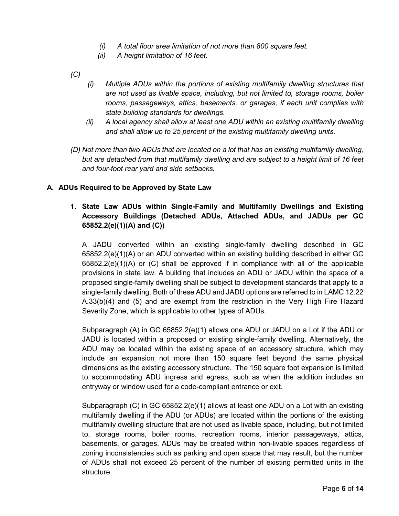- *(i) A total floor area limitation of not more than 800 square feet.*
- *(ii) A height limitation of 16 feet.*
- *(C)*
- *(i) Multiple ADUs within the portions of existing multifamily dwelling structures that are not used as livable space, including, but not limited to, storage rooms, boiler rooms, passageways, attics, basements, or garages, if each unit complies with state building standards for dwellings.*
- *(ii) A local agency shall allow at least one ADU within an existing multifamily dwelling and shall allow up to 25 percent of the existing multifamily dwelling units.*
- *(D) Not more than two ADUs that are located on a lot that has an existing multifamily dwelling, but are detached from that multifamily dwelling and are subject to a height limit of 16 feet and four-foot rear yard and side setbacks.*

#### **A. ADUs Required to be Approved by State Law**

# **1. State Law ADUs within Single-Family and Multifamily Dwellings and Existing Accessory Buildings (Detached ADUs, Attached ADUs, and JADUs per GC 65852.2(e)(1)(A) and (C))**

A JADU converted within an existing single-family dwelling described in GC 65852.2(e)(1)(A) or an ADU converted within an existing building described in either GC  $65852.2(e)(1)(A)$  or  $(C)$  shall be approved if in compliance with all of the applicable provisions in state law. A building that includes an ADU or JADU within the space of a proposed single-family dwelling shall be subject to development standards that apply to a single-family dwelling. Both of these ADU and JADU options are referred to in LAMC 12.22 A.33(b)(4) and (5) and are exempt from the restriction in the Very High Fire Hazard Severity Zone, which is applicable to other types of ADUs.

Subparagraph (A) in GC 65852.2(e)(1) allows one ADU or JADU on a Lot if the ADU or JADU is located within a proposed or existing single-family dwelling. Alternatively, the ADU may be located within the existing space of an accessory structure, which may include an expansion not more than 150 square feet beyond the same physical dimensions as the existing accessory structure. The 150 square foot expansion is limited to accommodating ADU ingress and egress, such as when the addition includes an entryway or window used for a code-compliant entrance or exit.

Subparagraph (C) in GC  $65852.2(e)(1)$  allows at least one ADU on a Lot with an existing multifamily dwelling if the ADU (or ADUs) are located within the portions of the existing multifamily dwelling structure that are not used as livable space, including, but not limited to, storage rooms, boiler rooms, recreation rooms, interior passageways, attics, basements, or garages. ADUs may be created within non-livable spaces regardless of zoning inconsistencies such as parking and open space that may result, but the number of ADUs shall not exceed 25 percent of the number of existing permitted units in the structure.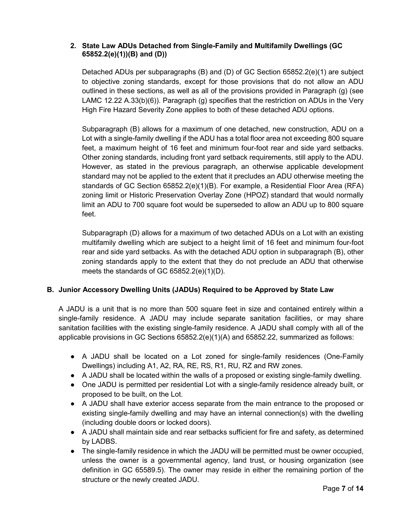## **2. State Law ADUs Detached from Single-Family and Multifamily Dwellings (GC 65852.2(e)(1))(B) and (D))**

Detached ADUs per subparagraphs (B) and (D) of GC Section 65852.2(e)(1) are subject to objective zoning standards, except for those provisions that do not allow an ADU outlined in these sections, as well as all of the provisions provided in Paragraph (g) (see LAMC 12.22 A.33(b)(6)). Paragraph (g) specifies that the restriction on ADUs in the Very High Fire Hazard Severity Zone applies to both of these detached ADU options.

Subparagraph (B) allows for a maximum of one detached, new construction, ADU on a Lot with a single-family dwelling if the ADU has a total floor area not exceeding 800 square feet, a maximum height of 16 feet and minimum four-foot rear and side yard setbacks. Other zoning standards, including front yard setback requirements, still apply to the ADU. However, as stated in the previous paragraph, an otherwise applicable development standard may not be applied to the extent that it precludes an ADU otherwise meeting the standards of GC Section 65852.2(e)(1)(B). For example, a Residential Floor Area (RFA) zoning limit or Historic Preservation Overlay Zone (HPOZ) standard that would normally limit an ADU to 700 square foot would be superseded to allow an ADU up to 800 square feet.

Subparagraph (D) allows for a maximum of two detached ADUs on a Lot with an existing multifamily dwelling which are subject to a height limit of 16 feet and minimum four-foot rear and side yard setbacks. As with the detached ADU option in subparagraph (B), other zoning standards apply to the extent that they do not preclude an ADU that otherwise meets the standards of GC 65852.2(e)(1)(D).

# **B. Junior Accessory Dwelling Units (JADUs) Required to be Approved by State Law**

A JADU is a unit that is no more than 500 square feet in size and contained entirely within a single-family residence. A JADU may include separate sanitation facilities, or may share sanitation facilities with the existing single-family residence. A JADU shall comply with all of the applicable provisions in GC Sections 65852.2(e)(1)(A) and 65852.22, summarized as follows:

- A JADU shall be located on a Lot zoned for single-family residences (One-Family Dwellings) including A1, A2, RA, RE, RS, R1, RU, RZ and RW zones.
- A JADU shall be located within the walls of a proposed or existing single-family dwelling.
- One JADU is permitted per residential Lot with a single-family residence already built, or proposed to be built, on the Lot.
- A JADU shall have exterior access separate from the main entrance to the proposed or existing single-family dwelling and may have an internal connection(s) with the dwelling (including double doors or locked doors).
- A JADU shall maintain side and rear setbacks sufficient for fire and safety, as determined by LADBS.
- The single-family residence in which the JADU will be permitted must be owner occupied, unless the owner is a governmental agency, land trust, or housing organization (see definition in GC 65589.5). The owner may reside in either the remaining portion of the structure or the newly created JADU.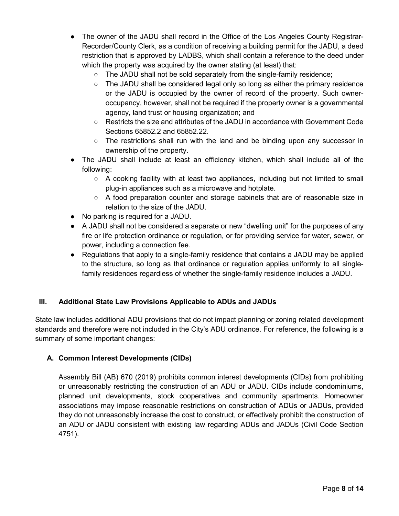- The owner of the JADU shall record in the Office of the Los Angeles County Registrar-Recorder/County Clerk, as a condition of receiving a building permit for the JADU, a deed restriction that is approved by LADBS, which shall contain a reference to the deed under which the property was acquired by the owner stating (at least) that:
	- The JADU shall not be sold separately from the single-family residence;
	- The JADU shall be considered legal only so long as either the primary residence or the JADU is occupied by the owner of record of the property. Such owneroccupancy, however, shall not be required if the property owner is a governmental agency, land trust or housing organization; and
	- Restricts the size and attributes of the JADU in accordance with Government Code Sections 65852.2 and 65852.22.
	- $\circ$  The restrictions shall run with the land and be binding upon any successor in ownership of the property.
- The JADU shall include at least an efficiency kitchen, which shall include all of the following:
	- $\circ$  A cooking facility with at least two appliances, including but not limited to small plug-in appliances such as a microwave and hotplate.
	- A food preparation counter and storage cabinets that are of reasonable size in relation to the size of the JADU.
- No parking is required for a JADU.
- A JADU shall not be considered a separate or new "dwelling unit" for the purposes of any fire or life protection ordinance or regulation, or for providing service for water, sewer, or power, including a connection fee.
- Regulations that apply to a single-family residence that contains a JADU may be applied to the structure, so long as that ordinance or regulation applies uniformly to all singlefamily residences regardless of whether the single-family residence includes a JADU.

# **III. Additional State Law Provisions Applicable to ADUs and JADUs**

State law includes additional ADU provisions that do not impact planning or zoning related development standards and therefore were not included in the City's ADU ordinance. For reference, the following is a summary of some important changes:

# **A. Common Interest Developments (CIDs)**

Assembly Bill (AB) 670 (2019) prohibits common interest developments (CIDs) from prohibiting or unreasonably restricting the construction of an ADU or JADU. CIDs include condominiums, planned unit developments, stock cooperatives and community apartments. Homeowner associations may impose reasonable restrictions on construction of ADUs or JADUs, provided they do not unreasonably increase the cost to construct, or effectively prohibit the construction of an ADU or JADU consistent with existing law regarding ADUs and JADUs (Civil Code Section 4751).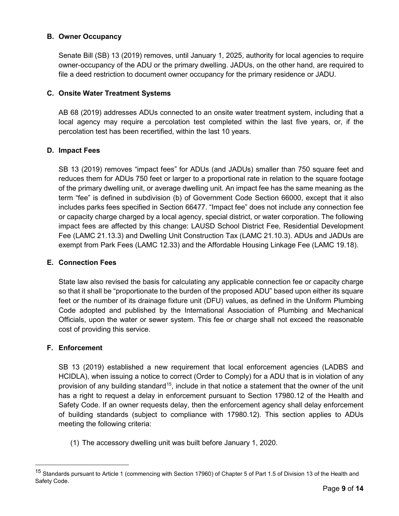## **B. Owner Occupancy**

Senate Bill (SB) 13 (2019) removes, until January 1, 2025, authority for local agencies to require owner-occupancy of the ADU or the primary dwelling. JADUs, on the other hand, are required to file a deed restriction to document owner occupancy for the primary residence or JADU.

## **C. Onsite Water Treatment Systems**

AB 68 (2019) addresses ADUs connected to an onsite water treatment system, including that a local agency may require a percolation test completed within the last five years, or, if the percolation test has been recertified, within the last 10 years.

## **D. Impact Fees**

SB 13 (2019) removes "impact fees" for ADUs (and JADUs) smaller than 750 square feet and reduces them for ADUs 750 feet or larger to a proportional rate in relation to the square footage of the primary dwelling unit, or average dwelling unit. An impact fee has the same meaning as the term "fee" is defined in subdivision (b) of Government Code Section 66000, except that it also includes parks fees specified in Section 66477. "Impact fee" does not include any connection fee or capacity charge charged by a local agency, special district, or water corporation. The following impact fees are affected by this change: LAUSD School District Fee, Residential Development Fee (LAMC 21.13.3) and Dwelling Unit Construction Tax (LAMC 21.10.3). ADUs and JADUs are exempt from Park Fees (LAMC 12.33) and the Affordable Housing Linkage Fee (LAMC 19.18).

#### **E. Connection Fees**

State law also revised the basis for calculating any applicable connection fee or capacity charge so that it shall be "proportionate to the burden of the proposed ADU" based upon either its square feet or the number of its drainage fixture unit (DFU) values, as defined in the Uniform Plumbing Code adopted and published by the International Association of Plumbing and Mechanical Officials, upon the water or sewer system. This fee or charge shall not exceed the reasonable cost of providing this service.

#### **F. Enforcement**

 $\overline{a}$ 

SB 13 (2019) established a new requirement that local enforcement agencies (LADBS and HCIDLA), when issuing a notice to correct (Order to Comply) for a ADU that is in violation of any provision of any building standard<sup>[15](#page-8-0)</sup>, include in that notice a statement that the owner of the unit has a right to request a delay in enforcement pursuant to Section 17980.12 of the Health and Safety Code. If an owner requests delay, then the enforcement agency shall delay enforcement of building standards (subject to compliance with 17980.12). This section applies to ADUs meeting the following criteria:

(1) The accessory dwelling unit was built before January 1, 2020.

<span id="page-8-0"></span><sup>15</sup> Standards pursuant to Article 1 (commencing with Section 17960) of Chapter 5 of Part 1.5 of Division 13 of the Health and Safety Code.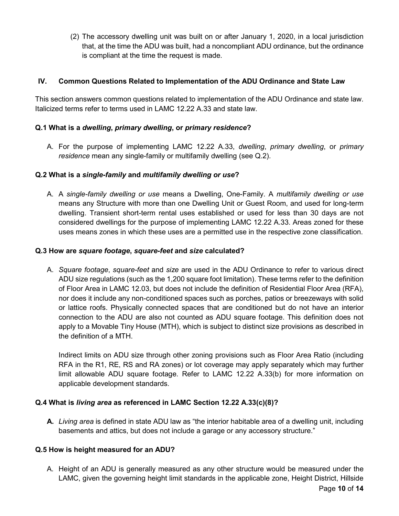(2) The accessory dwelling unit was built on or after January 1, 2020, in a local jurisdiction that, at the time the ADU was built, had a noncompliant ADU ordinance, but the ordinance is compliant at the time the request is made.

## **IV. Common Questions Related to Implementation of the ADU Ordinance and State Law**

This section answers common questions related to implementation of the ADU Ordinance and state law. Italicized terms refer to terms used in LAMC 12.22 A.33 and state law.

## **Q.1 What is a** *dwelling***,** *primary dwelling***, or** *primary residence***?**

A. For the purpose of implementing LAMC 12.22 A.33, *dwelling*, *primary dwelling*, or *primary residence* mean any single-family or multifamily dwelling (see Q.2).

## **Q.2 What is a** *single-family* **and** *multifamily dwelling or use***?**

A. A *single-family dwelling or use* means a Dwelling, One-Family. A *multifamily dwelling or use*  means any Structure with more than one Dwelling Unit or Guest Room, and used for long-term dwelling. Transient short-term rental uses established or used for less than 30 days are not considered dwellings for the purpose of implementing LAMC 12.22 A.33. Areas zoned for these uses means zones in which these uses are a permitted use in the respective zone classification.

#### **Q.3 How are** *square footage***,** *square-feet* **and** *size* **calculated?**

A. *Square footage*, *square-feet* and *size* are used in the ADU Ordinance to refer to various direct ADU size regulations (such as the 1,200 square foot limitation). These terms refer to the definition of Floor Area in LAMC 12.03, but does not include the definition of Residential Floor Area (RFA), nor does it include any non-conditioned spaces such as porches, patios or breezeways with solid or lattice roofs. Physically connected spaces that are conditioned but do not have an interior connection to the ADU are also not counted as ADU square footage. This definition does not apply to a Movable Tiny House (MTH), which is subject to distinct size provisions as described in the definition of a MTH.

Indirect limits on ADU size through other zoning provisions such as Floor Area Ratio (including RFA in the R1, RE, RS and RA zones) or lot coverage may apply separately which may further limit allowable ADU square footage. Refer to LAMC 12.22 A.33(b) for more information on applicable development standards.

#### **Q.4 What is** *living area* **as referenced in LAMC Section 12.22 A.33(c)(8)?**

**A.** *Living area* is defined in state ADU law as "the interior habitable area of a dwelling unit, including basements and attics, but does not include a garage or any accessory structure."

#### **Q.5 How is height measured for an ADU?**

A. Height of an ADU is generally measured as any other structure would be measured under the LAMC, given the governing height limit standards in the applicable zone, Height District, Hillside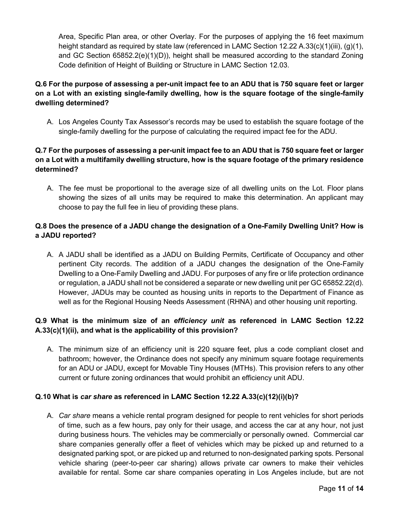Area, Specific Plan area, or other Overlay. For the purposes of applying the 16 feet maximum height standard as required by state law (referenced in LAMC Section 12.22 A.33(c)(1)(iii), (g)(1), and GC Section  $65852.2(e)(1)(D)$ , height shall be measured according to the standard Zoning Code definition of Height of Building or Structure in LAMC Section 12.03.

# **Q.6 For the purpose of assessing a per-unit impact fee to an ADU that is 750 square feet or larger on a Lot with an existing single-family dwelling, how is the square footage of the single-family dwelling determined?**

A. Los Angeles County Tax Assessor's records may be used to establish the square footage of the single-family dwelling for the purpose of calculating the required impact fee for the ADU.

# **Q.7 For the purposes of assessing a per-unit impact fee to an ADU that is 750 square feet or larger on a Lot with a multifamily dwelling structure, how is the square footage of the primary residence determined?**

A. The fee must be proportional to the average size of all dwelling units on the Lot. Floor plans showing the sizes of all units may be required to make this determination. An applicant may choose to pay the full fee in lieu of providing these plans.

# **Q.8 Does the presence of a JADU change the designation of a One-Family Dwelling Unit? How is a JADU reported?**

A. A JADU shall be identified as a JADU on Building Permits, Certificate of Occupancy and other pertinent City records. The addition of a JADU changes the designation of the One-Family Dwelling to a One-Family Dwelling and JADU. For purposes of any fire or life protection ordinance or regulation, a JADU shall not be considered a separate or new dwelling unit per GC 65852.22(d). However, JADUs may be counted as housing units in reports to the Department of Finance as well as for the Regional Housing Needs Assessment (RHNA) and other housing unit reporting.

# **Q.9 What is the minimum size of an** *efficiency unit* **as referenced in LAMC Section 12.22 A.33(c)(1)(ii), and what is the applicability of this provision?**

A. The minimum size of an efficiency unit is 220 square feet, plus a code compliant closet and bathroom; however, the Ordinance does not specify any minimum square footage requirements for an ADU or JADU, except for Movable Tiny Houses (MTHs). This provision refers to any other current or future zoning ordinances that would prohibit an efficiency unit ADU.

# **Q.10 What is** *car share* **as referenced in LAMC Section 12.22 A.33(c)(12)(i)(b)?**

A. *Car share* means a vehicle rental program designed for people to rent vehicles for short periods of time, such as a few hours, pay only for their usage, and access the car at any hour, not just during business hours. The vehicles may be commercially or personally owned. Commercial car share companies generally offer a fleet of vehicles which may be picked up and returned to a designated parking spot, or are picked up and returned to non-designated parking spots. Personal vehicle sharing (peer-to-peer car sharing) allows private car owners to make their vehicles available for rental. Some car share companies operating in Los Angeles include, but are not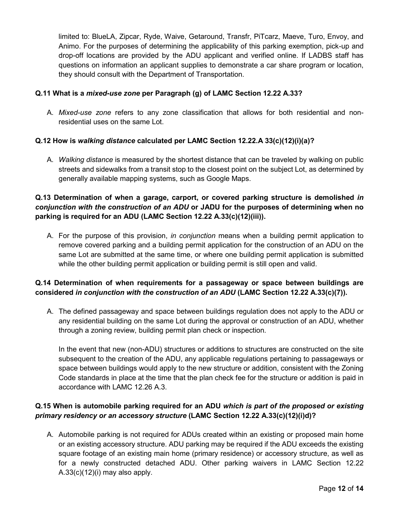limited to: BlueLA, Zipcar, Ryde, Waive, Getaround, Transfr, PiTcarz, Maeve, Turo, Envoy, and Animo. For the purposes of determining the applicability of this parking exemption, pick-up and drop-off locations are provided by the ADU applicant and verified online. If LADBS staff has questions on information an applicant supplies to demonstrate a car share program or location, they should consult with the Department of Transportation.

## **Q.11 What is a** *mixed-use zone* **per Paragraph (g) of LAMC Section 12.22 A.33?**

A. *Mixed-use zone* refers to any zone classification that allows for both residential and nonresidential uses on the same Lot.

## **Q.12 How is** *walking distance* **calculated per LAMC Section 12.22.A 33(c)(12)(i)(a)?**

A. *Walking distance* is measured by the shortest distance that can be traveled by walking on public streets and sidewalks from a transit stop to the closest point on the subject Lot, as determined by generally available mapping systems, such as Google Maps.

# **Q.13 Determination of when a garage, carport, or covered parking structure is demolished** *in conjunction with the construction of an ADU* **or JADU for the purposes of determining when no parking is required for an ADU (LAMC Section 12.22 A.33(c)(12)(iii)).**

A. For the purpose of this provision, *in conjunction* means when a building permit application to remove covered parking and a building permit application for the construction of an ADU on the same Lot are submitted at the same time, or where one building permit application is submitted while the other building permit application or building permit is still open and valid.

# **Q.14 Determination of when requirements for a passageway or space between buildings are considered** *in conjunction with the construction of an ADU* **(LAMC Section 12.22 A.33(c)(7)).**

A. The defined passageway and space between buildings regulation does not apply to the ADU or any residential building on the same Lot during the approval or construction of an ADU, whether through a zoning review, building permit plan check or inspection.

In the event that new (non-ADU) structures or additions to structures are constructed on the site subsequent to the creation of the ADU, any applicable regulations pertaining to passageways or space between buildings would apply to the new structure or addition, consistent with the Zoning Code standards in place at the time that the plan check fee for the structure or addition is paid in accordance with LAMC 12.26 A.3.

# **Q.15 When is automobile parking required for an ADU** *which is part of the proposed or existing primary residency or an accessory structure* **(LAMC Section 12.22 A.33(c)(12)(i)d)?**

A. Automobile parking is not required for ADUs created within an existing or proposed main home or an existing accessory structure. ADU parking may be required if the ADU exceeds the existing square footage of an existing main home (primary residence) or accessory structure, as well as for a newly constructed detached ADU. Other parking waivers in LAMC Section 12.22  $A.33(c)(12)(i)$  may also apply.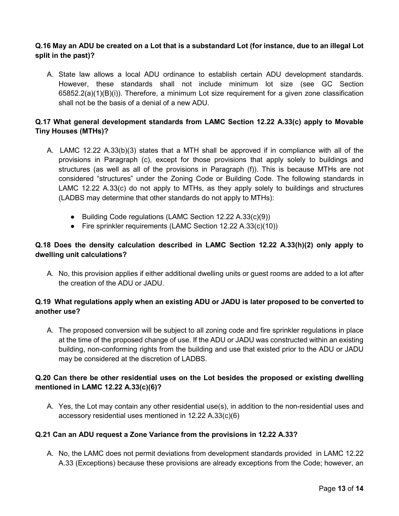## **Q.16 May an ADU be created on a Lot that is a substandard Lot (for instance, due to an illegal Lot split in the past)?**

A. State law allows a local ADU ordinance to establish certain ADU development standards. However, these standards shall not include minimum lot size (see GC Section 65852.2(a)(1)(B)(i)). Therefore, a minimum Lot size requirement for a given zone classification shall not be the basis of a denial of a new ADU.

# **Q.17 What general development standards from LAMC Section 12.22 A.33(c) apply to Movable Tiny Houses (MTHs)?**

- A. LAMC 12.22 A.33(b)(3) states that a MTH shall be approved if in compliance with all of the provisions in Paragraph (c), except for those provisions that apply solely to buildings and structures (as well as all of the provisions in Paragraph (f)). This is because MTHs are not considered "structures" under the Zoning Code or Building Code. The following standards in LAMC 12.22 A.33(c) do not apply to MTHs, as they apply solely to buildings and structures (LADBS may determine that other standards do not apply to MTHs):
	- Building Code regulations (LAMC Section 12.22 A.33(c)(9))
	- Fire sprinkler requirements (LAMC Section 12.22 A.33(c)(10))

# **Q.18 Does the density calculation described in LAMC Section 12.22 A.33(h)(2) only apply to dwelling unit calculations?**

A. No, this provision applies if either additional dwelling units or guest rooms are added to a lot after the creation of the ADU or JADU.

## **Q.19 What regulations apply when an existing ADU or JADU is later proposed to be converted to another use?**

A. The proposed conversion will be subject to all zoning code and fire sprinkler regulations in place at the time of the proposed change of use. If the ADU or JADU was constructed within an existing building, non-conforming rights from the building and use that existed prior to the ADU or JADU may be considered at the discretion of LADBS.

## **Q.20 Can there be other residential uses on the Lot besides the proposed or existing dwelling mentioned in LAMC 12.22 A.33(c)(6)?**

A. Yes, the Lot may contain any other residential use(s), in addition to the non-residential uses and accessory residential uses mentioned in 12.22 A.33(c)(6)

#### **Q.21 Can an ADU request a Zone Variance from the provisions in 12.22 A.33?**

A. No, the LAMC does not permit deviations from development standards provided in LAMC 12.22 A.33 (Exceptions) because these provisions are already exceptions from the Code; however, an